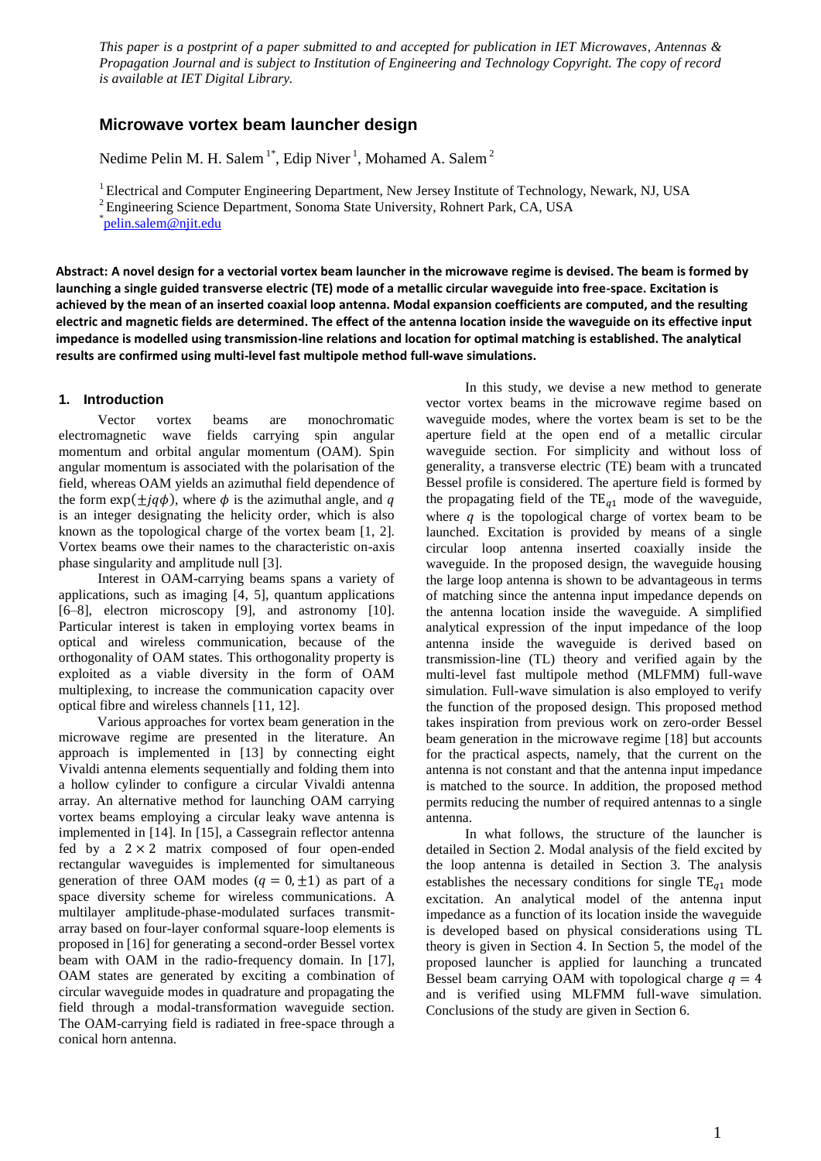*This paper is a postprint of a paper submitted to and accepted for publication in IET Microwaves, Antennas & Propagation Journal and is subject to Institution of Engineering and Technology Copyright. The copy of record is available at IET Digital Library.*

# **Microwave vortex beam launcher design**

Nedime Pelin M. H. Salem<sup>1\*</sup>, Edip Niver<sup>1</sup>, Mohamed A. Salem<sup>2</sup>

<sup>1</sup> Electrical and Computer Engineering Department, New Jersey Institute of Technology, Newark, NJ, USA

<sup>2</sup>Engineering Science Department, Sonoma State University, Rohnert Park, CA, USA

\* [pelin.salem@njit.edu](mailto:corresponding.author@second.com)

**Abstract: A novel design for a vectorial vortex beam launcher in the microwave regime is devised. The beam is formed by launching a single guided transverse electric (TE) mode of a metallic circular waveguide into free-space. Excitation is achieved by the mean of an inserted coaxial loop antenna. Modal expansion coefficients are computed, and the resulting electric and magnetic fields are determined. The effect of the antenna location inside the waveguide on its effective input impedance is modelled using transmission-line relations and location for optimal matching is established. The analytical results are confirmed using multi-level fast multipole method full-wave simulations.**

# **1. Introduction**

Vector vortex beams are monochromatic electromagnetic wave fields carrying spin angular momentum and orbital angular momentum (OAM). Spin angular momentum is associated with the polarisation of the field, whereas OAM yields an azimuthal field dependence of the form  $\exp(\pm i q\phi)$ , where  $\phi$  is the azimuthal angle, and q is an integer designating the helicity order, which is also known as the topological charge of the vortex beam [1, 2]. Vortex beams owe their names to the characteristic on-axis phase singularity and amplitude null [3].

Interest in OAM-carrying beams spans a variety of applications, such as imaging [4, 5], quantum applications [6–8], electron microscopy [9], and astronomy [10]. Particular interest is taken in employing vortex beams in optical and wireless communication, because of the orthogonality of OAM states. This orthogonality property is exploited as a viable diversity in the form of OAM multiplexing, to increase the communication capacity over optical fibre and wireless channels [11, 12].

Various approaches for vortex beam generation in the microwave regime are presented in the literature. An approach is implemented in [13] by connecting eight Vivaldi antenna elements sequentially and folding them into a hollow cylinder to configure a circular Vivaldi antenna array. An alternative method for launching OAM carrying vortex beams employing a circular leaky wave antenna is implemented in [14]. In [15], a Cassegrain reflector antenna fed by a  $2 \times 2$  matrix composed of four open-ended rectangular waveguides is implemented for simultaneous generation of three OAM modes  $(q = 0, \pm 1)$  as part of a space diversity scheme for wireless communications. A multilayer amplitude-phase-modulated surfaces transmitarray based on four-layer conformal square-loop elements is proposed in [16] for generating a second-order Bessel vortex beam with OAM in the radio-frequency domain. In [17], OAM states are generated by exciting a combination of circular waveguide modes in quadrature and propagating the field through a modal-transformation waveguide section. The OAM-carrying field is radiated in free-space through a conical horn antenna.

In this study, we devise a new method to generate vector vortex beams in the microwave regime based on waveguide modes, where the vortex beam is set to be the aperture field at the open end of a metallic circular waveguide section. For simplicity and without loss of generality, a transverse electric (TE) beam with a truncated Bessel profile is considered. The aperture field is formed by the propagating field of the TE $_{q1}$  mode of the waveguide, where  $q$  is the topological charge of vortex beam to be launched. Excitation is provided by means of a single circular loop antenna inserted coaxially inside the waveguide. In the proposed design, the waveguide housing the large loop antenna is shown to be advantageous in terms of matching since the antenna input impedance depends on the antenna location inside the waveguide. A simplified analytical expression of the input impedance of the loop antenna inside the waveguide is derived based on transmission-line (TL) theory and verified again by the multi-level fast multipole method (MLFMM) full-wave simulation. Full-wave simulation is also employed to verify the function of the proposed design. This proposed method takes inspiration from previous work on zero-order Bessel beam generation in the microwave regime [18] but accounts for the practical aspects, namely, that the current on the antenna is not constant and that the antenna input impedance is matched to the source. In addition, the proposed method permits reducing the number of required antennas to a single antenna.

In what follows, the structure of the launcher is detailed in Section 2. Modal analysis of the field excited by the loop antenna is detailed in Section 3. The analysis establishes the necessary conditions for single  $TE_{a1}$  mode excitation. An analytical model of the antenna input impedance as a function of its location inside the waveguide is developed based on physical considerations using TL theory is given in Section 4. In Section 5, the model of the proposed launcher is applied for launching a truncated Bessel beam carrying OAM with topological charge  $q = 4$ and is verified using MLFMM full-wave simulation. Conclusions of the study are given in Section 6.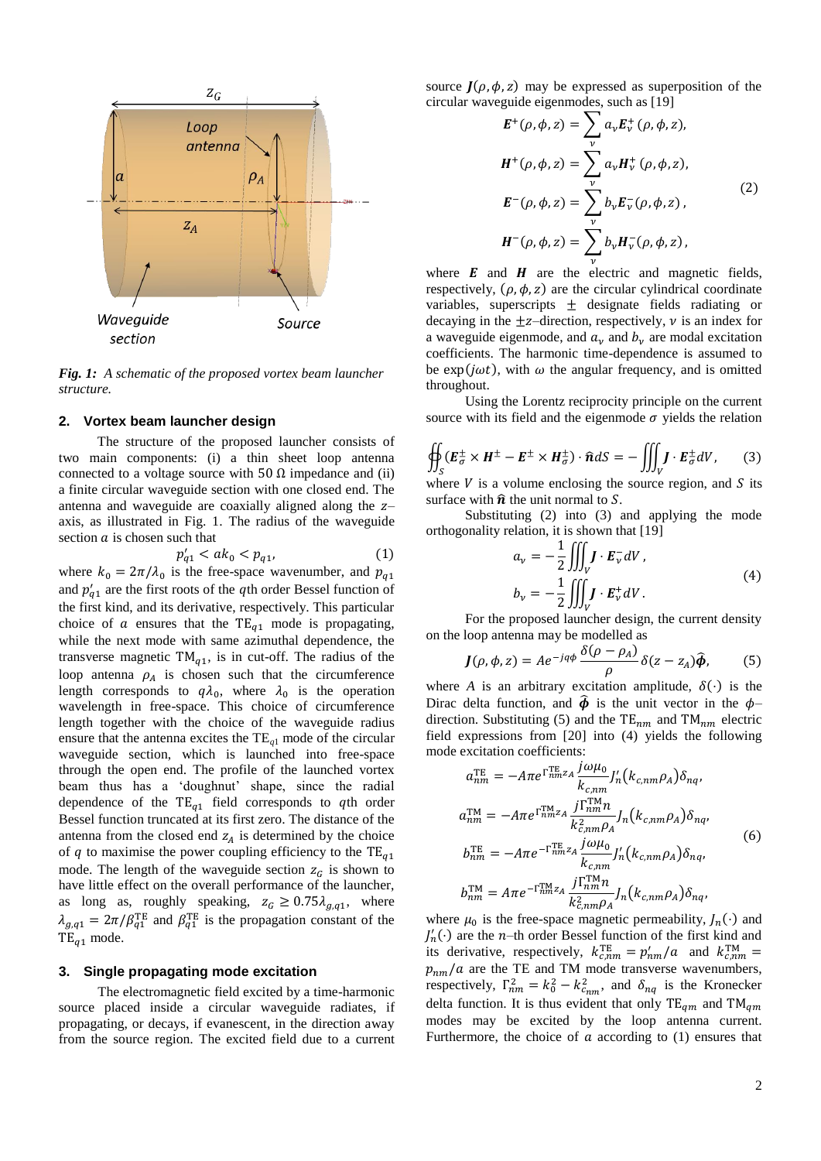

*Fig. 1: A schematic of the proposed vortex beam launcher structure.*

#### **2. Vortex beam launcher design**

The structure of the proposed launcher consists of two main components: (i) a thin sheet loop antenna connected to a voltage source with 50  $\Omega$  impedance and (ii) a finite circular waveguide section with one closed end. The antenna and waveguide are coaxially aligned along the  $z$ axis, as illustrated in Fig. 1. The radius of the waveguide section  $a$  is chosen such that

$$
p'_{q1} < ak_0 < p_{q1}, \tag{1}
$$

where  $k_0 = 2\pi/\lambda_0$  is the free-space wavenumber, and and  $p'_{a1}$  are the first roots of the qth order Bessel function of the first kind, and its derivative, respectively. This particular choice of  $\alpha$  ensures that the TE<sub> $q1$ </sub> mode is propagating, while the next mode with same azimuthal dependence, the transverse magnetic  $TM_{a1}$ , is in cut-off. The radius of the loop antenna  $\rho_A$  is chosen such that the circumference length corresponds to  $q\lambda_0$ , where  $\lambda_0$  is the operation wavelength in free-space. This choice of circumference length together with the choice of the waveguide radius ensure that the antenna excites the TE*q*<sup>1</sup> mode of the circular waveguide section, which is launched into free-space through the open end. The profile of the launched vortex beam thus has a 'doughnut' shape, since the radial dependence of the  $TE_{q1}$  field corresponds to qth order Bessel function truncated at its first zero. The distance of the antenna from the closed end  $z_A$  is determined by the choice of q to maximise the power coupling efficiency to the  $TE_{a1}$ mode. The length of the waveguide section  $z_c$  is shown to have little effect on the overall performance of the launcher, as long as, roughly speaking,  $z_G \geq 0.75 \lambda_{q,q1}$ , where  $\lambda_{a,q1} = 2\pi/\beta_{q1}^{TE}$  and  $\beta_{q1}^{TE}$  is the propagation constant of the  $TE_{a1}$  mode.

## **3. Single propagating mode excitation**

The electromagnetic field excited by a time-harmonic source placed inside a circular waveguide radiates, if propagating, or decays, if evanescent, in the direction away from the source region. The excited field due to a current

source  $J(\rho, \phi, z)$  may be expressed as superposition of the circular waveguide eigenmodes, such as [19]

$$
E^{+}(\rho, \phi, z) = \sum_{\nu} a_{\nu} E_{\nu}^{+}(\rho, \phi, z),
$$
  
\n
$$
H^{+}(\rho, \phi, z) = \sum_{\nu} a_{\nu} H_{\nu}^{+}(\rho, \phi, z),
$$
  
\n
$$
E^{-}(\rho, \phi, z) = \sum_{\nu} b_{\nu} E_{\nu}^{-}(\rho, \phi, z),
$$
  
\n
$$
H^{-}(\rho, \phi, z) = \sum_{\nu} b_{\nu} H_{\nu}^{-}(\rho, \phi, z),
$$
  
\n(2)

where  $\boldsymbol{E}$  and  $\boldsymbol{H}$  are the electric and magnetic fields, respectively,  $(\rho, \phi, z)$  are the circular cylindrical coordinate variables, superscripts  $\pm$  designate fields radiating or decaying in the  $\pm z$ -direction, respectively, v is an index for a waveguide eigenmode, and  $a_v$  and  $b_v$  are modal excitation coefficients. The harmonic time-dependence is assumed to be  $exp(j\omega t)$ , with  $\omega$  the angular frequency, and is omitted throughout.

Using the Lorentz reciprocity principle on the current source with its field and the eigenmode  $\sigma$  yields the relation

$$
\oiint_{S} (E_{\sigma}^{\pm} \times H^{\pm} - E^{\pm} \times H_{\sigma}^{\pm}) \cdot \hat{n} dS = - \iiint_{V} J \cdot E_{\sigma}^{\pm} dV, \qquad (3)
$$

where  $V$  is a volume enclosing the source region, and  $S$  its surface with  $\hat{\boldsymbol{n}}$  the unit normal to S.

Substituting (2) into (3) and applying the mode orthogonality relation, it is shown that [19]

$$
a_{\nu} = -\frac{1}{2} \iiint_{V} \mathbf{J} \cdot \mathbf{E}_{\nu}^{-} dV,
$$
  
\n
$$
b_{\nu} = -\frac{1}{2} \iiint_{V} \mathbf{J} \cdot \mathbf{E}_{\nu}^{+} dV.
$$
 (4)

For the proposed launcher design, the current density on the loop antenna may be modelled as

$$
J(\rho, \phi, z) = A e^{-jq\phi} \frac{\delta(\rho - \rho_A)}{\rho} \delta(z - z_A) \hat{\phi}, \qquad (5)
$$

where *A* is an arbitrary excitation amplitude,  $\delta(\cdot)$  is the Dirac delta function, and  $\hat{\phi}$  is the unit vector in the  $\phi$ direction. Substituting (5) and the  $TE_{nm}$  and  $TM_{nm}$  electric field expressions from [20] into (4) yields the following mode excitation coefficients:

$$
a_{nm}^{\text{TE}} = -A\pi e^{\Gamma_{nm}^{\text{TE}}z_{A}} \frac{j\omega\mu_{0}}{k_{c,nm}} J'_{n}(k_{c,nm}\rho_{A})\delta_{nq},
$$
  
\n
$$
a_{nm}^{\text{TM}} = -A\pi e^{\Gamma_{nm}^{\text{TM}}z_{A}} \frac{j\Gamma_{nm}^{\text{TM}}n}{k_{c,nm}^2 \rho_{A}} J_{n}(k_{c,nm}\rho_{A})\delta_{nq},
$$
  
\n
$$
b_{nm}^{\text{TE}} = -A\pi e^{-\Gamma_{nm}^{\text{TE}}z_{A}} \frac{j\omega\mu_{0}}{k_{c,nm}} J'_{n}(k_{c,nm}\rho_{A})\delta_{nq},
$$
  
\n
$$
b_{nm}^{\text{TM}} = A\pi e^{-\Gamma_{nm}^{\text{TM}}z_{A}} \frac{j\Gamma_{nm}^{\text{TM}}n}{k_{c,nm}^2 \rho_{A}} J_{n}(k_{c,nm}\rho_{A})\delta_{nq},
$$
\n(6)

where  $\mu_0$  is the free-space magnetic permeability,  $J_n(\cdot)$  and  $J'_n(\cdot)$  are the *n*-th order Bessel function of the first kind and its derivative, respectively,  $k_{c,nm}^{\text{TE}} = p'_{nm}/a$  and  $k_c^{\text{T}}$  $p_{nm}/a$  are the TE and TM mode transverse wavenumbers, respectively,  $\Gamma_{nm}^2 = k_0^2 - k_{cmn}^2$ , and  $\delta_{na}$  is the Kronecker delta function. It is thus evident that only  $TE_{qm}$  and  $TM_{qm}$ modes may be excited by the loop antenna current. Furthermore, the choice of  $\alpha$  according to (1) ensures that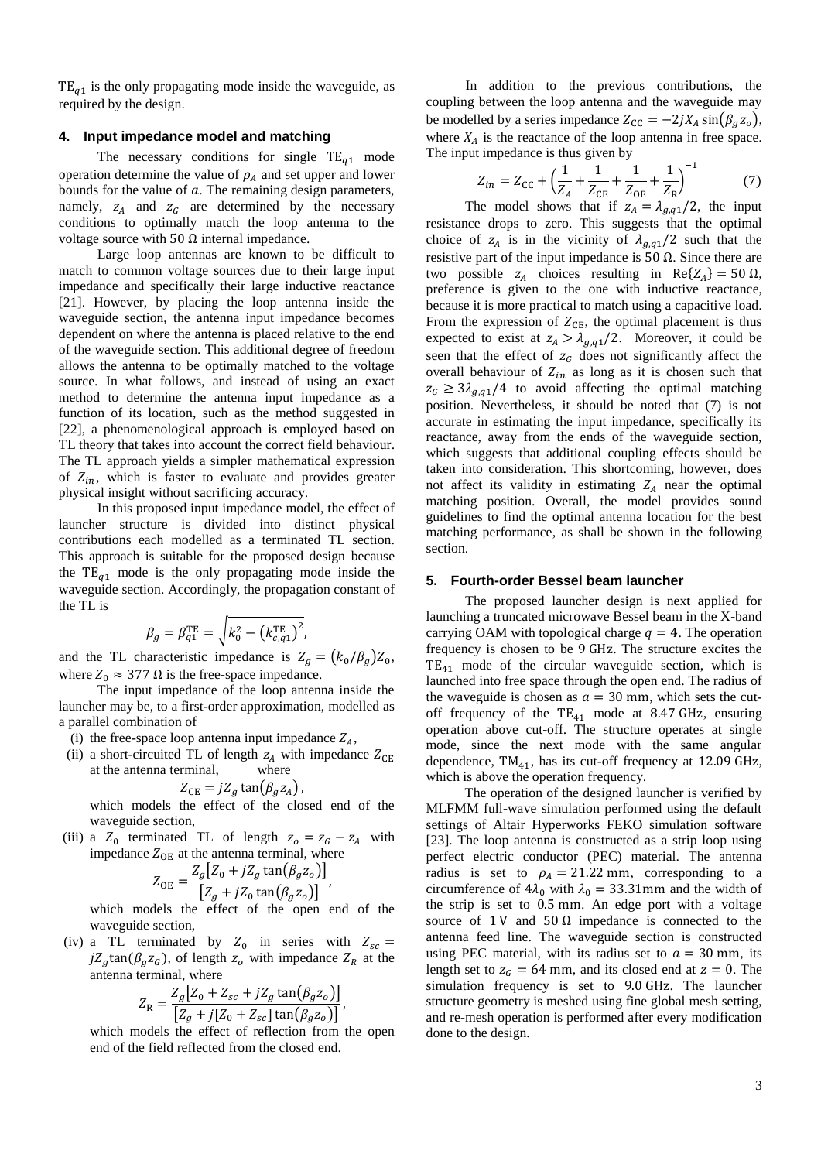$TE_{a1}$  is the only propagating mode inside the waveguide, as required by the design.

## **4. Input impedance model and matching**

The necessary conditions for single  $TE_{q1}$  mode operation determine the value of  $\rho_A$  and set upper and lower bounds for the value of  $a$ . The remaining design parameters, namely,  $z_A$  and  $z_G$  are determined by the necessary conditions to optimally match the loop antenna to the voltage source with 50  $\Omega$  internal impedance.

Large loop antennas are known to be difficult to match to common voltage sources due to their large input impedance and specifically their large inductive reactance [21]. However, by placing the loop antenna inside the waveguide section, the antenna input impedance becomes dependent on where the antenna is placed relative to the end of the waveguide section. This additional degree of freedom allows the antenna to be optimally matched to the voltage source. In what follows, and instead of using an exact method to determine the antenna input impedance as a function of its location, such as the method suggested in [22], a phenomenological approach is employed based on TL theory that takes into account the correct field behaviour. The TL approach yields a simpler mathematical expression of  $Z_{in}$ , which is faster to evaluate and provides greater physical insight without sacrificing accuracy.

In this proposed input impedance model, the effect of launcher structure is divided into distinct physical contributions each modelled as a terminated TL section. This approach is suitable for the proposed design because the  $TE_{q1}$  mode is the only propagating mode inside the waveguide section. Accordingly, the propagation constant of the TL is

$$
\beta_g = \beta_{q1}^{\text{TE}} = \sqrt{k_0^2 - (k_{c,q1}^{\text{TE}})^2},
$$

and the TL characteristic impedance is  $Z_a = (k_0/\beta_a) Z_0$ , where  $Z_0 \approx 377 \Omega$  is the free-space impedance.

The input impedance of the loop antenna inside the launcher may be, to a first-order approximation, modelled as a parallel combination of

- (i) the free-space loop antenna input impedance  $Z_A$ ,
- (ii) a short-circuited TL of length  $z_A$  with impedance  $Z_{CE}$ at the antenna terminal, where

$$
Z_{\rm CE} = jZ_g \tan(\beta_g z_A),
$$

which models the effect of the closed end of the waveguide section,

(iii) a  $Z_0$  terminated TL of length  $z_0 = z_G - z_A$  with impedance  $Z_{OE}$  at the antenna terminal, where

$$
Z_{\text{OE}} = \frac{Z_g \left[ Z_0 + j Z_g \tan\left(\beta_g z_o\right) \right]}{\left[ Z_g + j Z_0 \tan\left(\beta_g z_o\right) \right]}
$$

,

which models the effect of the open end of the waveguide section,

(iv) a TL terminated by  $Z_0$  in series with  $jZ_q \tan(\beta_q z_q)$ , of length  $z_q$  with impedance  $Z_R$  at the antenna terminal, where

$$
Z_{\rm R} = \frac{Z_g \left[Z_0 + Z_{sc} + jZ_g \tan(\beta_g z_o)\right]}{\left[Z_g + j\left[Z_0 + Z_{sc}\right] \tan(\beta_g z_o)\right]},
$$

which models the effect of reflection from the open end of the field reflected from the closed end.

In addition to the previous contributions, the coupling between the loop antenna and the waveguide may be modelled by a series impedance  $Z_{\text{CC}} = -2jX_A \sin(\beta_g z_o)$ , where  $X_A$  is the reactance of the loop antenna in free space. The input impedance is thus given by

$$
Z_{in} = Z_{\rm CC} + \left(\frac{1}{Z_A} + \frac{1}{Z_{\rm CE}} + \frac{1}{Z_{\rm OE}} + \frac{1}{Z_{\rm R}}\right)^{-1}
$$
(7)

The model shows that if  $z_A = \lambda_{g,q1}/2$ , the input resistance drops to zero. This suggests that the optimal choice of  $z_A$  is in the vicinity of  $\lambda_{g,q1}/2$  such that the resistive part of the input impedance is  $50 \Omega$ . Since there are two possible  $z_A$  choices resulting in  $Re\{Z_A\} = 50 \Omega$ , preference is given to the one with inductive reactance, because it is more practical to match using a capacitive load. From the expression of  $Z_{\text{CE}}$ , the optimal placement is thus expected to exist at  $z_A > \lambda_{g,q_1}/2$ . Moreover, it could be seen that the effect of  $z_G$  does not significantly affect the overall behaviour of  $Z_{in}$  as long as it is chosen such that  $z_G \ge 3\lambda_{a,a1}/4$  to avoid affecting the optimal matching position. Nevertheless, it should be noted that (7) is not accurate in estimating the input impedance, specifically its reactance, away from the ends of the waveguide section, which suggests that additional coupling effects should be taken into consideration. This shortcoming, however, does not affect its validity in estimating  $Z_A$  near the optimal matching position. Overall, the model provides sound guidelines to find the optimal antenna location for the best matching performance, as shall be shown in the following section.

## **5. Fourth-order Bessel beam launcher**

The proposed launcher design is next applied for launching a truncated microwave Bessel beam in the X-band carrying OAM with topological charge  $q = 4$ . The operation frequency is chosen to be 9 GHz. The structure excites the  $TE_{41}$  mode of the circular waveguide section, which is launched into free space through the open end. The radius of the waveguide is chosen as  $a = 30$  mm, which sets the cutoff frequency of the  $TE_{41}$  mode at 8.47 GHz, ensuring operation above cut-off. The structure operates at single mode, since the next mode with the same angular dependence,  $TM_{41}$ , has its cut-off frequency at 12.09 GHz, which is above the operation frequency.

The operation of the designed launcher is verified by MLFMM full-wave simulation performed using the default settings of Altair Hyperworks FEKO simulation software [23]. The loop antenna is constructed as a strip loop using perfect electric conductor (PEC) material. The antenna radius is set to  $\rho_A = 21.22$  mm, corresponding to a circumference of  $4\lambda_0$  with  $\lambda_0 = 33.31$ mm and the width of the strip is set to  $0.5$  mm. An edge port with a voltage source of 1 V and 50  $\Omega$  impedance is connected to the antenna feed line. The waveguide section is constructed using PEC material, with its radius set to  $a = 30$  mm, its length set to  $z_G = 64$  mm, and its closed end at  $z = 0$ . The simulation frequency is set to 9.0 GHz. The launcher structure geometry is meshed using fine global mesh setting, and re-mesh operation is performed after every modification done to the design.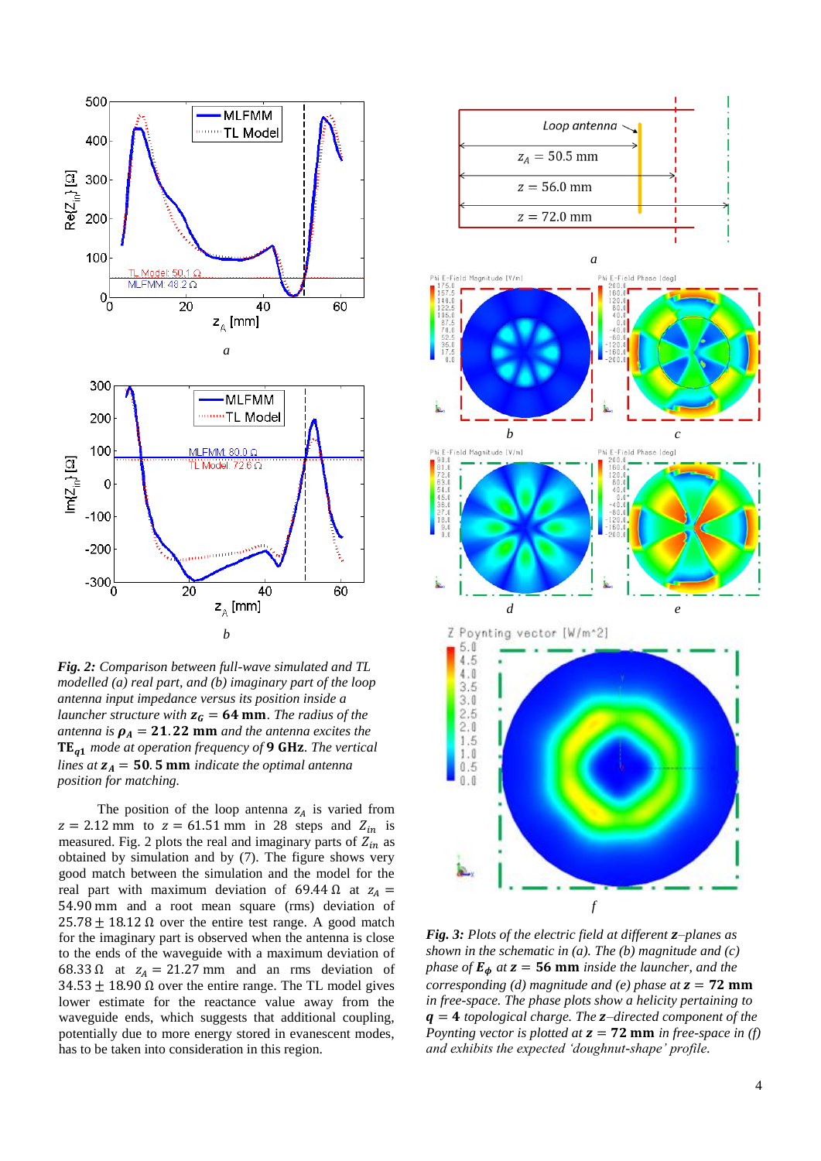

*Fig. 2: Comparison between full-wave simulated and TL modelled (a) real part, and (b) imaginary part of the loop antenna input impedance versus its position inside a launcher structure with*  $z<sub>G</sub> = 64$  mm. The radius of the *antenna is*  $\rho_A = 21.22$  mm *and the antenna excites the* **TE<sub>a1</sub>** mode at operation frequency of 9 GHz. The vertical *lines at*  $z_A = 50.5$  mm *indicate the optimal antenna position for matching.*

The position of the loop antenna  $z_A$  is varied from  $z = 2.12$  mm to  $z = 61.51$  mm in 28 steps and  $Z_{in}$  is measured. Fig. 2 plots the real and imaginary parts of  $Z_{in}$  as obtained by simulation and by (7). The figure shows very good match between the simulation and the model for the real part with maximum deviation of 69.44  $\Omega$  at  $z_A =$ 54.90 mm and a root mean square (rms) deviation of  $25.78 \pm 18.12 \Omega$  over the entire test range. A good match for the imaginary part is observed when the antenna is close to the ends of the waveguide with a maximum deviation of 68.33  $\Omega$  at  $z_A = 21.27$  mm and an rms deviation of  $34.53 \pm 18.90 \Omega$  over the entire range. The TL model gives lower estimate for the reactance value away from the waveguide ends, which suggests that additional coupling, potentially due to more energy stored in evanescent modes, has to be taken into consideration in this region.



*Fig. 3: Plots of the electric field at different z–planes as shown in the schematic in (a). The (b) magnitude and (c) phase of*  $\mathbf{E}_{\phi}$  *at*  $\mathbf{z} = 56$  **mm** *inside the launcher, and the corresponding (d) magnitude and (e) phase*  $at z = 72$  **mm** *in free-space. The phase plots show a helicity pertaining to*   $q = 4$  *topological charge. The*  $z$ -directed *component of the Poynting vector is plotted at*  $z = 72$  mm *in free-space in (f) and exhibits the expected 'doughnut-shape' profile.*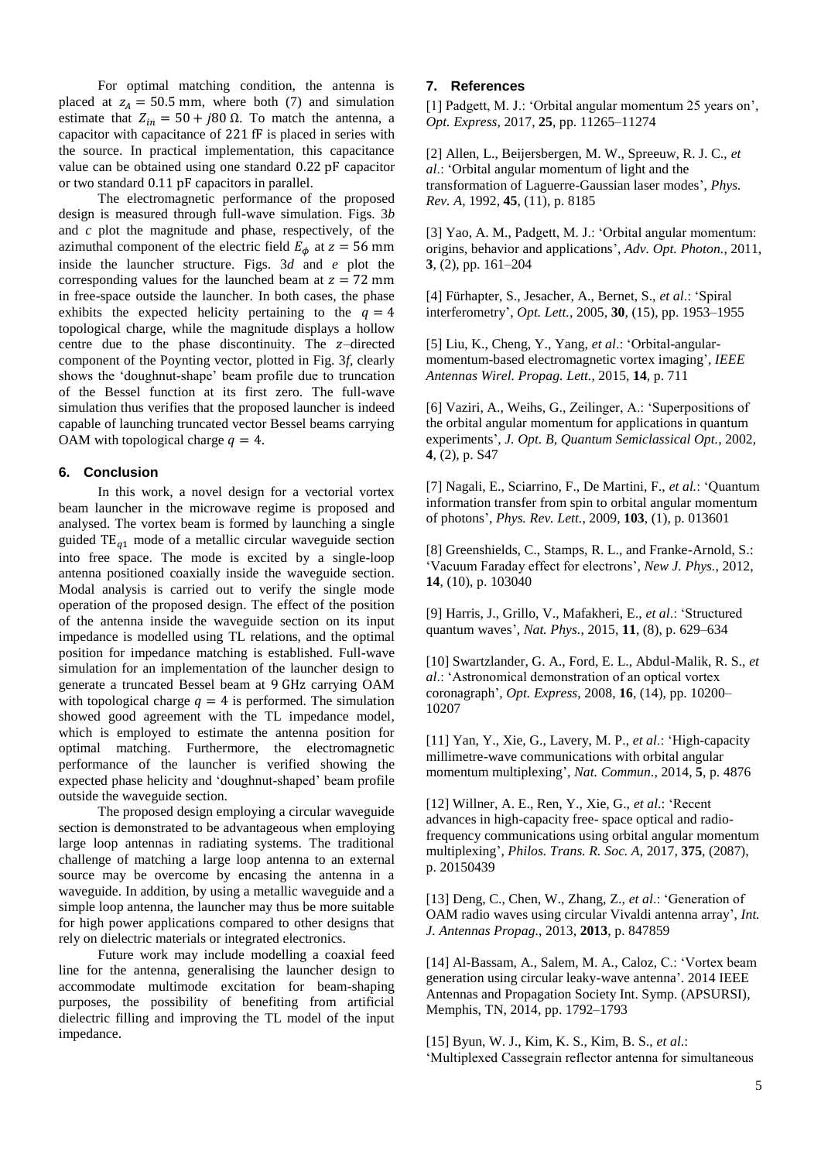For optimal matching condition, the antenna is placed at  $z_A = 50.5$  mm, where both (7) and simulation estimate that  $Z_{in} = 50 + j80 \Omega$ . To match the antenna, a capacitor with capacitance of 221 fF is placed in series with the source. In practical implementation, this capacitance value can be obtained using one standard  $0.22$  pF capacitor or two standard 0.11 pF capacitors in parallel.

The electromagnetic performance of the proposed design is measured through full-wave simulation. Figs. 3*b* and *c* plot the magnitude and phase, respectively, of the azimuthal component of the electric field  $E_{\phi}$  at  $z = 56$  mm inside the launcher structure. Figs. 3*d* and *e* plot the corresponding values for the launched beam at  $z = 72$  mm in free-space outside the launcher. In both cases, the phase exhibits the expected helicity pertaining to the  $q = 4$ topological charge, while the magnitude displays a hollow centre due to the phase discontinuity. The  $z$ -directed component of the Poynting vector, plotted in Fig. 3*f*, clearly shows the 'doughnut-shape' beam profile due to truncation of the Bessel function at its first zero. The full-wave simulation thus verifies that the proposed launcher is indeed capable of launching truncated vector Bessel beams carrying OAM with topological charge  $q = 4$ .

#### **6. Conclusion**

In this work, a novel design for a vectorial vortex beam launcher in the microwave regime is proposed and analysed. The vortex beam is formed by launching a single guided  $TE_{a1}$  mode of a metallic circular waveguide section into free space. The mode is excited by a single-loop antenna positioned coaxially inside the waveguide section. Modal analysis is carried out to verify the single mode operation of the proposed design. The effect of the position of the antenna inside the waveguide section on its input impedance is modelled using TL relations, and the optimal position for impedance matching is established. Full-wave simulation for an implementation of the launcher design to generate a truncated Bessel beam at 9 GHz carrying OAM with topological charge  $q = 4$  is performed. The simulation showed good agreement with the TL impedance model, which is employed to estimate the antenna position for optimal matching. Furthermore, the electromagnetic performance of the launcher is verified showing the expected phase helicity and 'doughnut-shaped' beam profile outside the waveguide section.

The proposed design employing a circular waveguide section is demonstrated to be advantageous when employing large loop antennas in radiating systems. The traditional challenge of matching a large loop antenna to an external source may be overcome by encasing the antenna in a waveguide. In addition, by using a metallic waveguide and a simple loop antenna, the launcher may thus be more suitable for high power applications compared to other designs that rely on dielectric materials or integrated electronics.

Future work may include modelling a coaxial feed line for the antenna, generalising the launcher design to accommodate multimode excitation for beam-shaping purposes, the possibility of benefiting from artificial dielectric filling and improving the TL model of the input impedance.

## **7. References**

[1] Padgett, M. J.: 'Orbital angular momentum 25 years on', *Opt. Express*, 2017, **25**, pp. 11265–11274

[2] Allen, L., Beijersbergen, M. W., Spreeuw, R. J. C., *et al*.: 'Orbital angular momentum of light and the transformation of Laguerre-Gaussian laser modes', *Phys. Rev. A*, 1992, **45**, (11), p. 8185

[3] Yao, A. M., Padgett, M. J.: 'Orbital angular momentum: origins, behavior and applications', *Adv. Opt. Photon.*, 2011, **3**, (2), pp. 161–204

[4] Fürhapter, S., Jesacher, A., Bernet, S., *et al*.: 'Spiral interferometry', *Opt. Lett.*, 2005, **30**, (15), pp. 1953–1955

[5] Liu, K., Cheng, Y., Yang, *et al*.: 'Orbital-angularmomentum-based electromagnetic vortex imaging', *IEEE Antennas Wirel. Propag. Lett.*, 2015, **14**, p. 711

[6] Vaziri, A., Weihs, G., Zeilinger, A.: 'Superpositions of the orbital angular momentum for applications in quantum experiments', *J. Opt. B, Quantum Semiclassical Opt.*, 2002, **4**, (2), p. S47

[7] Nagali, E., Sciarrino, F., De Martini, F., *et al.*: 'Quantum information transfer from spin to orbital angular momentum of photons', *Phys. Rev. Lett.*, 2009, **103**, (1), p. 013601

[8] Greenshields, C., Stamps, R. L., and Franke-Arnold, S.: 'Vacuum Faraday effect for electrons', *New J. Phys.*, 2012, **14**, (10), p. 103040

[9] Harris, J., Grillo, V., Mafakheri, E., *et al*.: 'Structured quantum waves', *Nat. Phys.*, 2015, **11**, (8), p. 629–634

[10] Swartzlander, G. A., Ford, E. L., Abdul-Malik, R. S., *et al*.: 'Astronomical demonstration of an optical vortex coronagraph', *Opt. Express*, 2008, **16**, (14), pp. 10200– 10207

[11] Yan, Y., Xie, G., Lavery, M. P., *et al*.: 'High-capacity millimetre-wave communications with orbital angular momentum multiplexing', *Nat. Commun.*, 2014, **5**, p. 4876

[12] Willner, A. E., Ren, Y., Xie, G., *et al*.: 'Recent advances in high-capacity free- space optical and radiofrequency communications using orbital angular momentum multiplexing', *Philos. Trans. R. Soc. A*, 2017, **375**, (2087), p. 20150439

[13] Deng, C., Chen, W., Zhang, Z., *et al*.: 'Generation of OAM radio waves using circular Vivaldi antenna array', *Int. J. Antennas Propag.*, 2013, **2013**, p. 847859

[14] Al-Bassam, A., Salem, M. A., Caloz, C.: 'Vortex beam generation using circular leaky-wave antenna'. 2014 IEEE Antennas and Propagation Society Int. Symp. (APSURSI), Memphis, TN, 2014, pp. 1792–1793

[15] Byun, W. J., Kim, K. S., Kim, B. S., *et al*.: 'Multiplexed Cassegrain reflector antenna for simultaneous